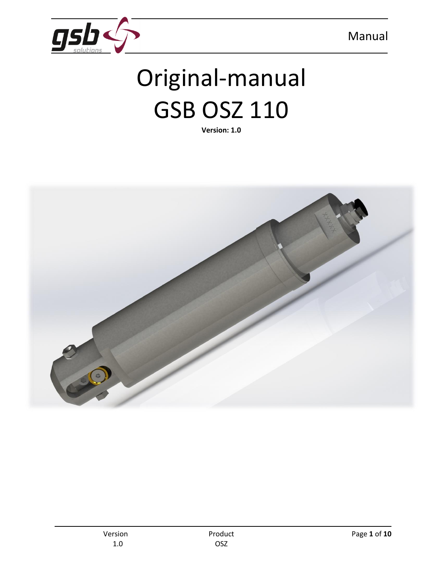

# Original-manual GSB OSZ 110

**Version: 1.0**

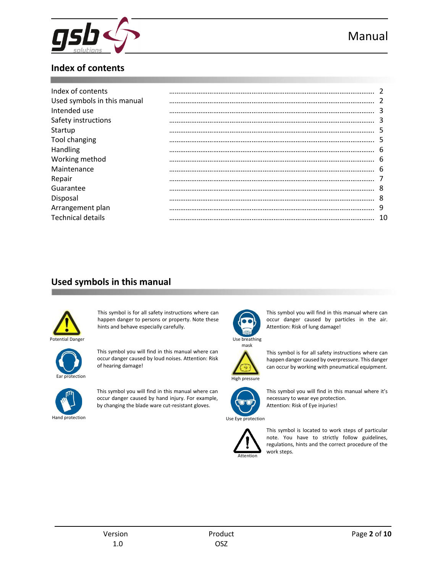

## **Index of contents**

| Index of contents           |    |
|-----------------------------|----|
| Used symbols in this manual |    |
| Intended use                | 3  |
| Safety instructions         | 3  |
| Startup                     | 5  |
| Tool changing               | 5  |
| Handling                    | 6  |
| Working method              | 6  |
| Maintenance                 | 6  |
| Repair                      |    |
| Guarantee                   | 8  |
| Disposal                    | 8  |
| Arrangement plan            | 9  |
| <b>Technical details</b>    | 10 |

## **Used symbols in this manual**



This symbol is for all safety instructions where can happen danger to persons or property. Note these hints and behave especially carefully.



This symbol you will find in this manual where can occur danger caused by loud noises. Attention: Risk of hearing damage!



This symbol you will find in this manual where can occur danger caused by hand injury. For example, by changing the blade ware cut-resistant gloves.



This symbol you will find in this manual where can occur danger caused by particles in the air. Attention: Risk of lung damage!



This symbol is for all safety instructions where can happen danger caused by overpressure. This danger can occur by working with pneumatical equipment.



This symbol you will find in this manual where it's necessary to wear eye protection. Attention: Risk of Eye injuries!



This symbol is located to work steps of particular note. You have to strictly follow guidelines, regulations, hints and the correct procedure of the work steps.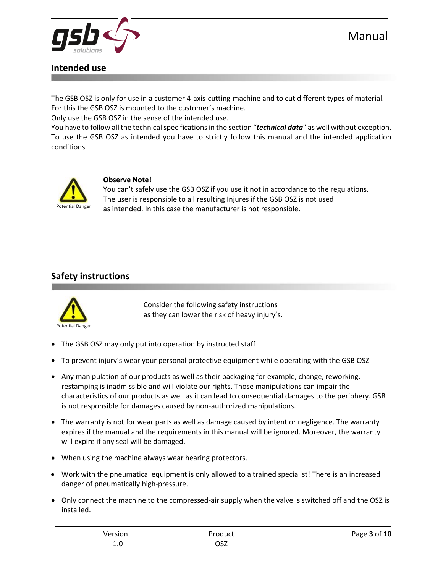

## **Intended use**

The GSB OSZ is only for use in a customer 4-axis-cutting-machine and to cut different types of material. For this the GSB OSZ is mounted to the customer's machine.

Only use the GSB OSZ in the sense of the intended use.

You have to follow all the technical specifications in the section "*technical data*" as well without exception. To use the GSB OSZ as intended you have to strictly follow this manual and the intended application conditions.



#### **Observe Note!**

You can't safely use the GSB OSZ if you use it not in accordance to the regulations. The user is responsible to all resulting Injures if the GSB OSZ is not used as intended. In this case the manufacturer is not responsible.

## **Safety instructions**



Consider the following safety instructions as they can lower the risk of heavy injury's.

- The GSB OSZ may only put into operation by instructed staff
- To prevent injury's wear your personal protective equipment while operating with the GSB OSZ
- Any manipulation of our products as well as their packaging for example, change, reworking, restamping is inadmissible and will violate our rights. Those manipulations can impair the characteristics of our products as well as it can lead to consequential damages to the periphery. GSB is not responsible for damages caused by non-authorized manipulations.
- The warranty is not for wear parts as well as damage caused by intent or negligence. The warranty expires if the manual and the requirements in this manual will be ignored. Moreover, the warranty will expire if any seal will be damaged.
- When using the machine always wear hearing protectors.
- Work with the pneumatical equipment is only allowed to a trained specialist! There is an increased danger of pneumatically high-pressure.
- Only connect the machine to the compressed-air supply when the valve is switched off and the OSZ is installed.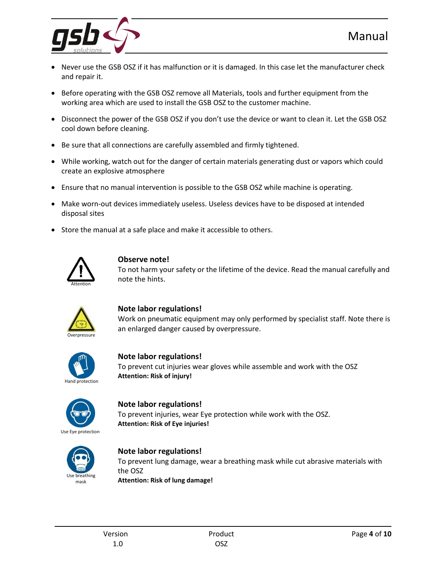

- Never use the GSB OSZ if it has malfunction or it is damaged. In this case let the manufacturer check and repair it.
- **Before operating with the GSB OSZ remove all Materials, tools and further equipment from the** working area which are used to install the GSB OSZ to the customer machine.
- Disconnect the power of the GSB OSZ if you don't use the device or want to clean it. Let the GSB OSZ cool down before cleaning.
- Be sure that all connections are carefully assembled and firmly tightened.
- While working, watch out for the danger of certain materials generating dust or vapors which could create an explosive atmosphere
- Ensure that no manual intervention is possible to the GSB OSZ while machine is operating.
- Make worn-out devices immediately useless. Useless devices have to be disposed at intended disposal sites
- Store the manual at a safe place and make it accessible to others.



#### **Observe note!**

To not harm your safety or the lifetime of the device. Read the manual carefully and note the hints.



#### **Note labor regulations!**

Work on pneumatic equipment may only performed by specialist staff. Note there is an enlarged danger caused by overpressure.



#### **Note labor regulations!**

To prevent cut injuries wear gloves while assemble and work with the OSZ **Attention: Risk of injury!**



#### **Note labor regulations!** To prevent injuries, wear Eye protection while work with the OSZ.



#### **Note labor regulations!**

**Attention: Risk of Eye injuries!**

To prevent lung damage, wear a breathing mask while cut abrasive materials with the OSZ **Attention: Risk of lung damage!**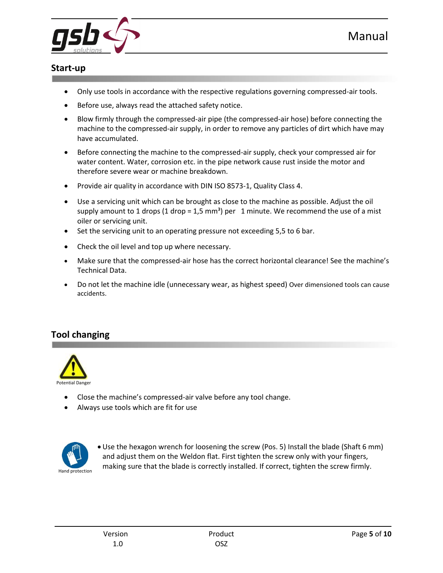

### **Start-up**

- Only use tools in accordance with the respective regulations governing compressed-air tools.
- Before use, always read the attached safety notice.
- Blow firmly through the compressed-air pipe (the compressed-air hose) before connecting the machine to the compressed-air supply, in order to remove any particles of dirt which have may have accumulated.
- Before connecting the machine to the compressed-air supply, check your compressed air for water content. Water, corrosion etc. in the pipe network cause rust inside the motor and therefore severe wear or machine breakdown.
- Provide air quality in accordance with DIN ISO 8573-1, Quality Class 4.
- Use a servicing unit which can be brought as close to the machine as possible. Adjust the oil supply amount to 1 drops (1 drop = 1,5 mm<sup>3</sup>) per 1 minute. We recommend the use of a mist oiler or servicing unit.
- Set the servicing unit to an operating pressure not exceeding 5,5 to 6 bar.
- Check the oil level and top up where necessary.
- Make sure that the compressed-air hose has the correct horizontal clearance! See the machine's Technical Data.
- Do not let the machine idle (unnecessary wear, as highest speed) Over dimensioned tools can cause accidents.

## **Tool changing**



- Close the machine's compressed-air valve before any tool change.
- Always use tools which are fit for use



 Use the hexagon wrench for loosening the screw (Pos. 5) Install the blade (Shaft 6 mm) and adjust them on the Weldon flat. First tighten the screw only with your fingers, making sure that the blade is correctly installed. If correct, tighten the screw firmly.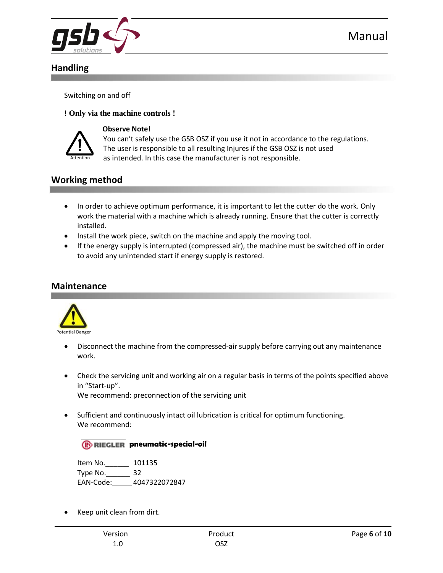

## **Handling**

Switching on and off

#### **! Only via the machine controls !**



#### **Observe Note!**

You can't safely use the GSB OSZ if you use it not in accordance to the regulations. The user is responsible to all resulting Injures if the GSB OSZ is not used as intended. In this case the manufacturer is not responsible.

## **Working method**

- In order to achieve optimum performance, it is important to let the cutter do the work. Only work the material with a machine which is already running. Ensure that the cutter is correctly installed.
- Install the work piece, switch on the machine and apply the moving tool.
- If the energy supply is interrupted (compressed air), the machine must be switched off in order to avoid any unintended start if energy supply is restored.

## **Maintenance**



- Disconnect the machine from the compressed-air supply before carrying out any maintenance work.
- Check the servicing unit and working air on a regular basis in terms of the points specified above in "Start-up".

We recommend: preconnection of the servicing unit

 Sufficient and continuously intact oil lubrication is critical for optimum functioning. We recommend:

#### **Rpheumatic-special-oil**

Item No.\_\_\_\_\_\_ 101135 Type No.\_\_\_\_\_\_ 32 EAN-Code:\_\_\_\_\_ 4047322072847

Keep unit clean from dirt.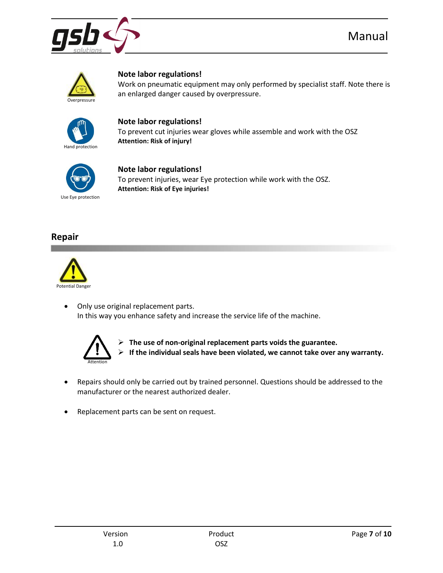



#### **Note labor regulations!**

Work on pneumatic equipment may only performed by specialist staff. Note there is an enlarged danger caused by overpressure.



#### **Note labor regulations!**

To prevent cut injuries wear gloves while assemble and work with the OSZ **Attention: Risk of injury!**



#### **Note labor regulations!**

To prevent injuries, wear Eye protection while work with the OSZ. **Attention: Risk of Eye injuries!**

#### **Repair**



 Only use original replacement parts. In this way you enhance safety and increase the service life of the machine.



 **The use of non-original replacement parts voids the guarantee. If the individual seals have been violated, we cannot take over any warranty.**

- Repairs should only be carried out by trained personnel. Questions should be addressed to the manufacturer or the nearest authorized dealer.
- Replacement parts can be sent on request.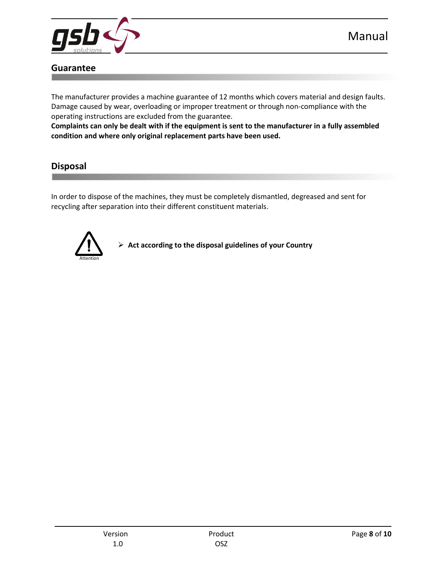

## **Guarantee**

The manufacturer provides a machine guarantee of 12 months which covers material and design faults. Damage caused by wear, overloading or improper treatment or through non-compliance with the operating instructions are excluded from the guarantee.

**Complaints can only be dealt with if the equipment is sent to the manufacturer in a fully assembled condition and where only original replacement parts have been used.**

## **Disposal**

In order to dispose of the machines, they must be completely dismantled, degreased and sent for recycling after separation into their different constituent materials.



**Act according to the disposal guidelines of your Country**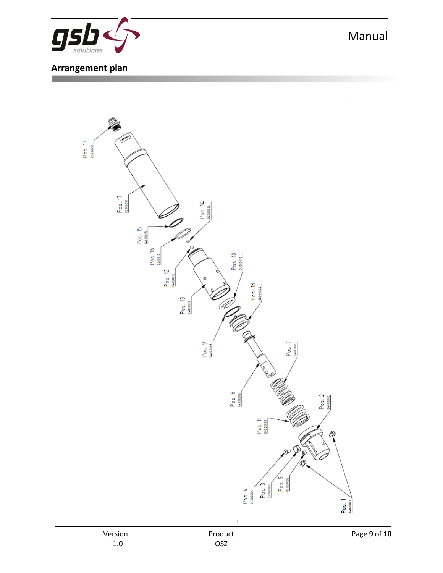

## **Arrangement plan**